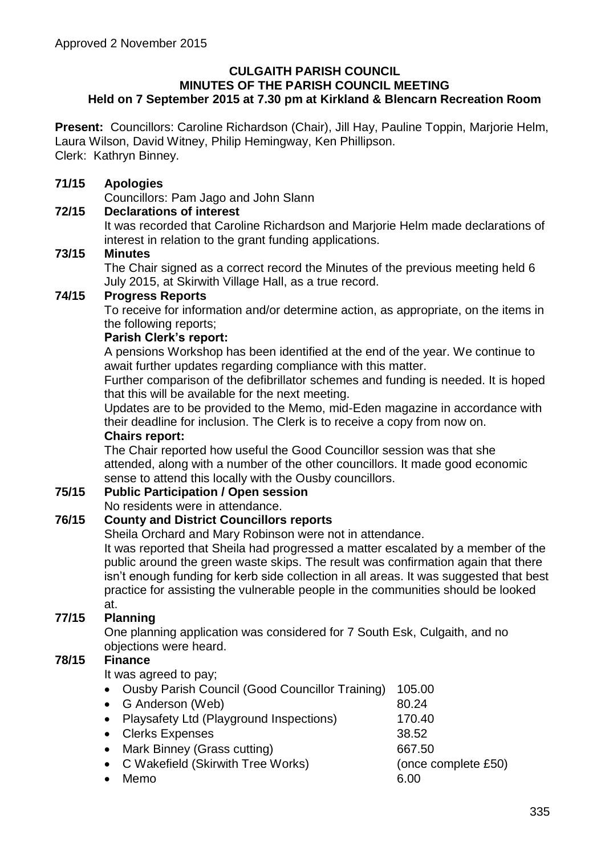#### **CULGAITH PARISH COUNCIL MINUTES OF THE PARISH COUNCIL MEETING Held on 7 September 2015 at 7.30 pm at Kirkland & Blencarn Recreation Room**

**Present:** Councillors: Caroline Richardson (Chair), Jill Hay, Pauline Toppin, Marjorie Helm, Laura Wilson, David Witney, Philip Hemingway, Ken Phillipson. Clerk: Kathryn Binney.

### **71/15 Apologies**

Councillors: Pam Jago and John Slann

### **72/15 Declarations of interest**

It was recorded that Caroline Richardson and Marjorie Helm made declarations of interest in relation to the grant funding applications.

### **73/15 Minutes**

The Chair signed as a correct record the Minutes of the previous meeting held 6 July 2015, at Skirwith Village Hall, as a true record.

# **74/15 Progress Reports**

To receive for information and/or determine action, as appropriate, on the items in the following reports;

#### **Parish Clerk's report:**

A pensions Workshop has been identified at the end of the year. We continue to await further updates regarding compliance with this matter.

Further comparison of the defibrillator schemes and funding is needed. It is hoped that this will be available for the next meeting.

Updates are to be provided to the Memo, mid-Eden magazine in accordance with their deadline for inclusion. The Clerk is to receive a copy from now on.

### **Chairs report:**

The Chair reported how useful the Good Councillor session was that she attended, along with a number of the other councillors. It made good economic sense to attend this locally with the Ousby councillors.

#### **75/15 Public Participation / Open session**

No residents were in attendance.

# **76/15 County and District Councillors reports**

Sheila Orchard and Mary Robinson were not in attendance.

It was reported that Sheila had progressed a matter escalated by a member of the public around the green waste skips. The result was confirmation again that there isn't enough funding for kerb side collection in all areas. It was suggested that best practice for assisting the vulnerable people in the communities should be looked at.

# **77/15 Planning**

One planning application was considered for 7 South Esk, Culgaith, and no objections were heard.

### **78/15 Finance**

It was agreed to pay;

| • Ousby Parish Council (Good Councillor Training) | 105.00              |
|---------------------------------------------------|---------------------|
| • G Anderson (Web)                                | 80.24               |
| • Playsafety Ltd (Playground Inspections)         | 170.40              |
| • Clerks Expenses                                 | 38.52               |
| • Mark Binney (Grass cutting)                     | 667.50              |
| • C Wakefield (Skirwith Tree Works)               | (once complete £50) |
| Memo                                              | 6.00                |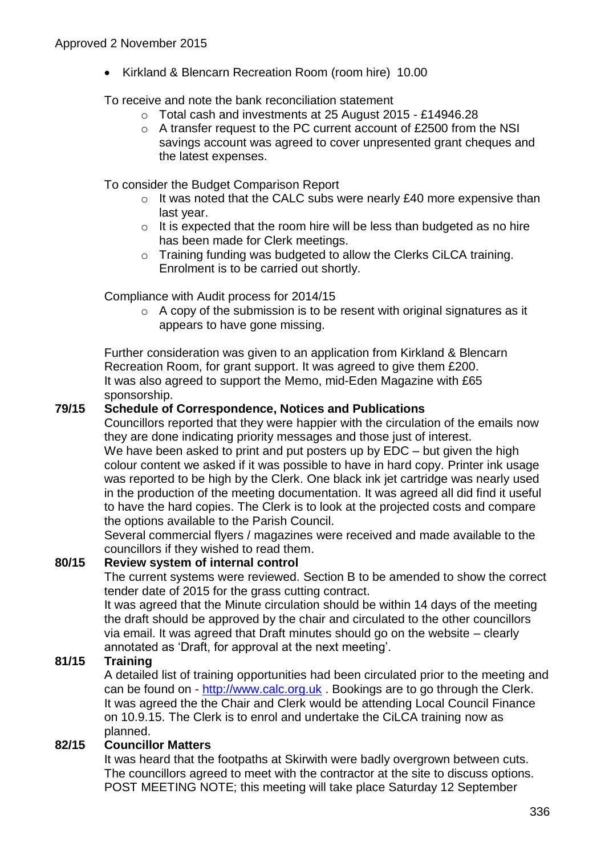• Kirkland & Blencarn Recreation Room (room hire) 10.00

To receive and note the bank reconciliation statement

- o Total cash and investments at 25 August 2015 £14946.28
- o A transfer request to the PC current account of £2500 from the NSI savings account was agreed to cover unpresented grant cheques and the latest expenses.

To consider the Budget Comparison Report

- o It was noted that the CALC subs were nearly £40 more expensive than last year.
- $\circ$  It is expected that the room hire will be less than budgeted as no hire has been made for Clerk meetings.
- o Training funding was budgeted to allow the Clerks CiLCA training. Enrolment is to be carried out shortly.

Compliance with Audit process for 2014/15

o A copy of the submission is to be resent with original signatures as it appears to have gone missing.

Further consideration was given to an application from Kirkland & Blencarn Recreation Room, for grant support. It was agreed to give them £200. It was also agreed to support the Memo, mid-Eden Magazine with £65 sponsorship.

# **79/15 Schedule of Correspondence, Notices and Publications**

Councillors reported that they were happier with the circulation of the emails now they are done indicating priority messages and those just of interest.

We have been asked to print and put posters up by EDC – but given the high colour content we asked if it was possible to have in hard copy. Printer ink usage was reported to be high by the Clerk. One black ink jet cartridge was nearly used in the production of the meeting documentation. It was agreed all did find it useful to have the hard copies. The Clerk is to look at the projected costs and compare the options available to the Parish Council.

Several commercial flyers / magazines were received and made available to the councillors if they wished to read them.

# **80/15 Review system of internal control**

The current systems were reviewed. Section B to be amended to show the correct tender date of 2015 for the grass cutting contract.

It was agreed that the Minute circulation should be within 14 days of the meeting the draft should be approved by the chair and circulated to the other councillors via email. It was agreed that Draft minutes should go on the website – clearly annotated as 'Draft, for approval at the next meeting'.

# **81/15 Training**

A detailed list of training opportunities had been circulated prior to the meeting and can be found on - [http://www.calc.org.uk](http://www.calc.org.uk/) . Bookings are to go through the Clerk. It was agreed the the Chair and Clerk would be attending Local Council Finance on 10.9.15. The Clerk is to enrol and undertake the CiLCA training now as planned.

#### **82/15 Councillor Matters**

It was heard that the footpaths at Skirwith were badly overgrown between cuts. The councillors agreed to meet with the contractor at the site to discuss options. POST MEETING NOTE; this meeting will take place Saturday 12 September